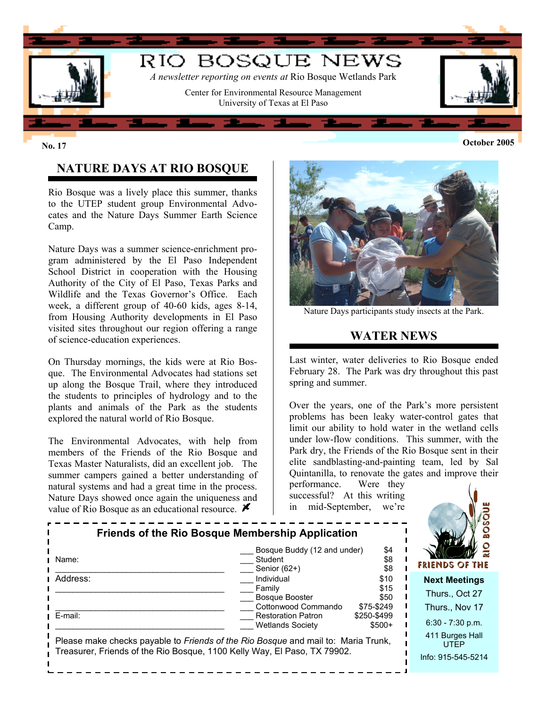

# **October 2005 No. 17**

# **NATURE DAYS AT RIO BOSQUE**

Rio Bosque was a lively place this summer, thanks to the UTEP student group Environmental Advocates and the Nature Days Summer Earth Science Camp.

Nature Days was a summer science-enrichment program administered by the El Paso Independent School District in cooperation with the Housing Authority of the City of El Paso, Texas Parks and Wildlife and the Texas Governor's Office. Each week, a different group of 40-60 kids, ages 8-14, from Housing Authority developments in El Paso visited sites throughout our region offering a range of science-education experiences.

On Thursday mornings, the kids were at Rio Bosque. The Environmental Advocates had stations set up along the Bosque Trail, where they introduced the students to principles of hydrology and to the plants and animals of the Park as the students explored the natural world of Rio Bosque.

The Environmental Advocates, with help from members of the Friends of the Rio Bosque and Texas Master Naturalists, did an excellent job. The summer campers gained a better understanding of natural systems and had a great time in the process. Nature Days showed once again the uniqueness and value of Rio Bosque as an educational resource.  $\blacktriangleright$ 



Nature Days participants study insects at the Park.

### **WATER NEWS**

Last winter, water deliveries to Rio Bosque ended February 28. The Park was dry throughout this past spring and summer.

Over the years, one of the Park's more persistent problems has been leaky water-control gates that limit our ability to hold water in the wetland cells under low-flow conditions. This summer, with the Park dry, the Friends of the Rio Bosque sent in their elite sandblasting-and-painting team, led by Sal Quintanilla, to renovate the gates and improve their

performance. Were they successful? At this writing in mid-September, we're

| <b>Friends of the Rio Bosque Membership Application</b>                                                                                                       |                                                               |                                    |                                                          |
|---------------------------------------------------------------------------------------------------------------------------------------------------------------|---------------------------------------------------------------|------------------------------------|----------------------------------------------------------|
| Name:                                                                                                                                                         | Bosque Buddy (12 and under)<br>Student<br>Senior $(62+)$      | \$4<br>\$8<br>\$8                  | FRIENDS OF THE                                           |
| Address:                                                                                                                                                      | Individual<br>Family<br>Bosque Booster<br>Cottonwood Commando | \$10<br>\$15<br>\$50<br>\$75-\$249 | <b>Next Meetings</b><br>Thurs., Oct 27<br>Thurs., Nov 17 |
| E-mail:                                                                                                                                                       | <b>Restoration Patron</b><br><b>Wetlands Society</b>          | \$250-\$499<br>$$500+$             | $6:30 - 7:30$ p.m.                                       |
| Please make checks payable to Friends of the Rio Bosque and mail to: Maria Trunk,<br>Treasurer, Friends of the Rio Bosque, 1100 Kelly Way, El Paso, TX 79902. |                                                               |                                    | 411 Burges Hall<br><b>UTEP</b><br>Info: 915-545-5214     |